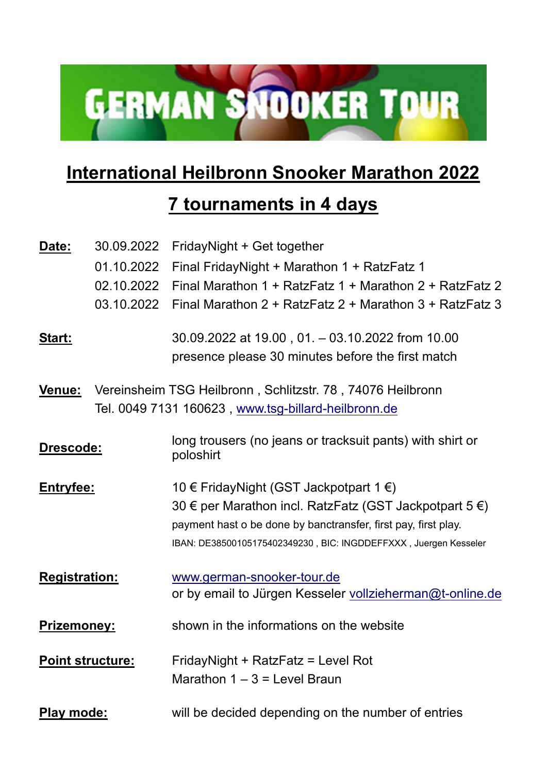

## **International Heilbronn Snooker Marathon 2022**

## **7 tournaments in 4 days**

| Date:                   | 30.09.2022 | FridayNight + Get together                                                                            |
|-------------------------|------------|-------------------------------------------------------------------------------------------------------|
|                         | 01.10.2022 | Final FridayNight + Marathon 1 + RatzFatz 1                                                           |
|                         | 02.10.2022 | Final Marathon $1 + \text{RatzFatz} 1 + \text{Marathon} 2 + \text{RatzFatz} 2$                        |
|                         | 03.10.2022 | Final Marathon $2 +$ RatzFatz $2 +$ Marathon $3 +$ RatzFatz 3                                         |
| <u>Start:</u>           |            | 30.09.2022 at 19.00, 01. - 03.10.2022 from 10.00<br>presence please 30 minutes before the first match |
| <u>Venue:</u>           |            | Vereinsheim TSG Heilbronn, Schlitzstr. 78, 74076 Heilbronn                                            |
|                         |            | Tel. 0049 7131 160623, www.tsg-billard-heilbronn.de                                                   |
| <b>Drescode:</b>        |            | long trousers (no jeans or tracksuit pants) with shirt or<br>poloshirt                                |
| <b>Entryfee:</b>        |            | 10 € FridayNight (GST Jackpotpart 1 €)                                                                |
|                         |            | 30 € per Marathon incl. RatzFatz (GST Jackpotpart $5 \in$ )                                           |
|                         |            | payment hast o be done by banctransfer, first pay, first play.                                        |
|                         |            | IBAN: DE38500105175402349230, BIC: INGDDEFFXXX, Juergen Kesseler                                      |
| <b>Registration:</b>    |            | www.german-snooker-tour.de                                                                            |
|                         |            | or by email to Jürgen Kesseler vollzieherman@t-online.de                                              |
| <b>Prizemoney:</b>      |            | shown in the informations on the website                                                              |
| <b>Point structure:</b> |            | FridayNight + RatzFatz = Level Rot                                                                    |
|                         |            | Marathon $1 - 3 =$ Level Braun                                                                        |
| <b>Play mode:</b>       |            | will be decided depending on the number of entries                                                    |
|                         |            |                                                                                                       |